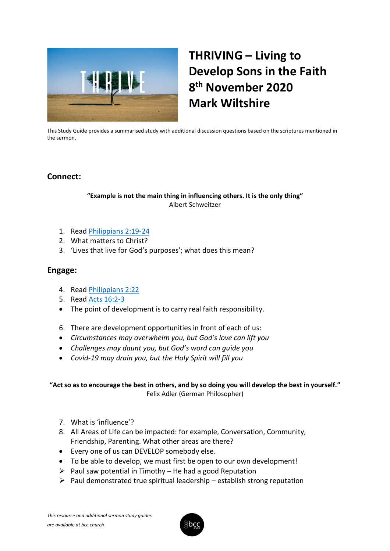

# **THRIVING – Living to Develop Sons in the Faith 8 th November 2020 Mark Wiltshire**

This Study Guide provides a summarised study with additional discussion questions based on the scriptures mentioned in the sermon.

# **Connect:**

#### **"Example is not the main thing in influencing others. It is the only thing"** Albert Schweitzer

- 1. Read [Philippians 2:19-24](https://www.biblegateway.com/passage/?search=Philippians+2%3A19-24+&version=KJV)
- 2. What matters to Christ?
- 3. 'Lives that live for God's purposes'; what does this mean?

### **Engage:**

- 4. Read [Philippians 2:22](https://www.biblegateway.com/passage/?search=Philippians+2%3A22&version=KJV)
- 5. Read [Acts 16:2-3](https://www.biblegateway.com/passage/?search=Acts+16%3A2-3&version=KJV)
- The point of development is to carry real faith responsibility.
- 6. There are development opportunities in front of each of us:
- *Circumstances may overwhelm you, but God's love can lift you*
- *Challenges may daunt you, but God's word can guide you*
- *Covid-19 may drain you, but the Holy Spirit will fill you*

#### **"Act so as to encourage the best in others, and by so doing you will develop the best in yourself."** Felix Adler (German Philosopher)

- 7. What is 'influence'?
- 8. All Areas of Life can be impacted: for example, Conversation, Community, Friendship, Parenting. What other areas are there?
- Every one of us can DEVELOP somebody else.
- To be able to develop, we must first be open to our own development!
- $\triangleright$  Paul saw potential in Timothy He had a good Reputation
- $\triangleright$  Paul demonstrated true spiritual leadership establish strong reputation

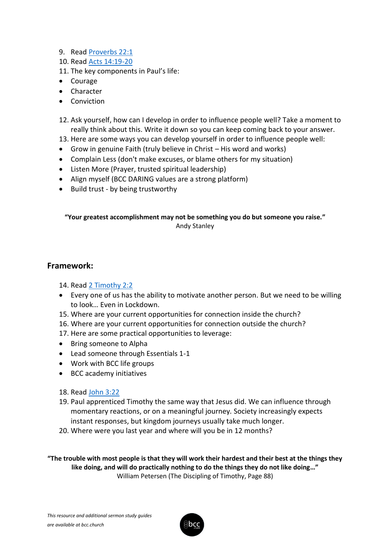- 9. Read [Proverbs 22:1](https://www.biblegateway.com/passage/?search=Proverbs+22%3A1&version=KJV)
- 10. Read [Acts 14:19-20](https://www.biblegateway.com/passage/?search=Acts+14%3A19-20&version=KJV)
- 11. The key components in Paul's life:
- Courage
- Character
- Conviction
- 12. Ask yourself, how can I develop in order to influence people well? Take a moment to really think about this. Write it down so you can keep coming back to your answer.
- 13. Here are some ways you can develop yourself in order to influence people well:
- Grow in genuine Faith (truly believe in Christ His word and works)
- Complain Less (don't make excuses, or blame others for my situation)
- Listen More (Prayer, trusted spiritual leadership)
- Align myself (BCC DARING values are a strong platform)
- Build trust by being trustworthy

**"Your greatest accomplishment may not be something you do but someone you raise."** Andy Stanley

# **Framework:**

14. Read [2 Timothy 2:2](https://www.biblegateway.com/passage/?search=2+Timothy+2%3A2&version=KJV)

- Every one of us has the ability to motivate another person. But we need to be willing to look… Even in Lockdown.
- 15. Where are your current opportunities for connection inside the church?
- 16. Where are your current opportunities for connection outside the church?
- 17. Here are some practical opportunities to leverage:
- Bring someone to Alpha
- Lead someone through Essentials 1-1
- Work with BCC life groups
- BCC academy initiatives
- 18. Read [John 3:22](https://www.biblegateway.com/passage/?search=John+3%3A22&version=KJV)
- 19. Paul apprenticed Timothy the same way that Jesus did. We can influence through momentary reactions, or on a meaningful journey. Society increasingly expects instant responses, but kingdom journeys usually take much longer.
- 20. Where were you last year and where will you be in 12 months?

**"The trouble with most people is that they will work their hardest and their best at the things they like doing, and will do practically nothing to do the things they do not like doing…"** William Petersen (The Discipling of Timothy, Page 88)

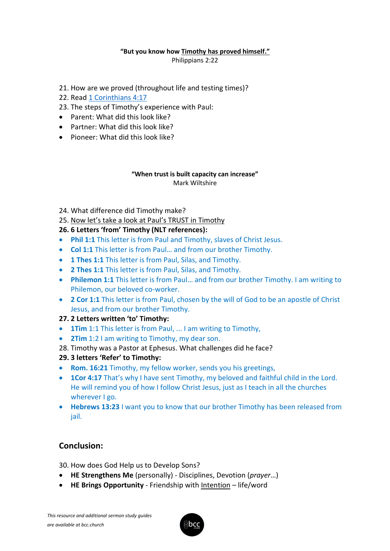#### **"But you know how Timothy has proved himself."**

Philippians 2:22

- 21. How are we proved (throughout life and testing times)?
- 22. Read [1 Corinthians 4:17](https://www.biblegateway.com/passage/?search=1+Corinthians+4%3A17&version=KJV)
- 23. The steps of Timothy's experience with Paul:
- Parent: What did this look like?
- Partner: What did this look like?
- Pioneer: What did this look like?

#### **"When trust is built capacity can increase"** Mark Wiltshire

- 24. What difference did Timothy make?
- 25. Now let's take a look at Paul's TRUST in Timothy

#### **26. 6 Letters 'from' Timothy (NLT references):**

- **Phil 1:1** This letter is from Paul and Timothy, slaves of Christ Jesus.
- **Col 1:1** This letter is from Paul… and from our brother Timothy.
- **1 Thes 1:1** This letter is from Paul, Silas, and Timothy.
- **2 Thes 1:1** This letter is from Paul, Silas, and Timothy.
- **Philemon 1:1** This letter is from Paul… and from our brother Timothy. I am writing to Philemon, our beloved co-worker.
- **2 Cor 1:1** This letter is from Paul, chosen by the will of God to be an apostle of Christ Jesus, and from our brother Timothy.

#### **27. 2 Letters written 'to' Timothy:**

- **1Tim** 1:1 This letter is from Paul, ... I am writing to Timothy,
- **2Tim** 1:2 I am writing to Timothy, my dear son.
- 28. Timothy was a Pastor at Ephesus. What challenges did he face?
- **29. 3 letters 'Refer' to Timothy:**
- **Rom. 16:21** Timothy, my fellow worker, sends you his greetings,
- **1Cor 4:17** That's why I have sent Timothy, my beloved and faithful child in the Lord. He will remind you of how I follow Christ Jesus, just as I teach in all the churches wherever I go.
- **Hebrews 13:23** I want you to know that our brother Timothy has been released from jail.

# **Conclusion:**

30. How does God Help us to Develop Sons?

- **HE Strengthens Me** (personally) Disciplines, Devotion (*prayer*…)
- **HE Brings Opportunity** Friendship with Intention life/word